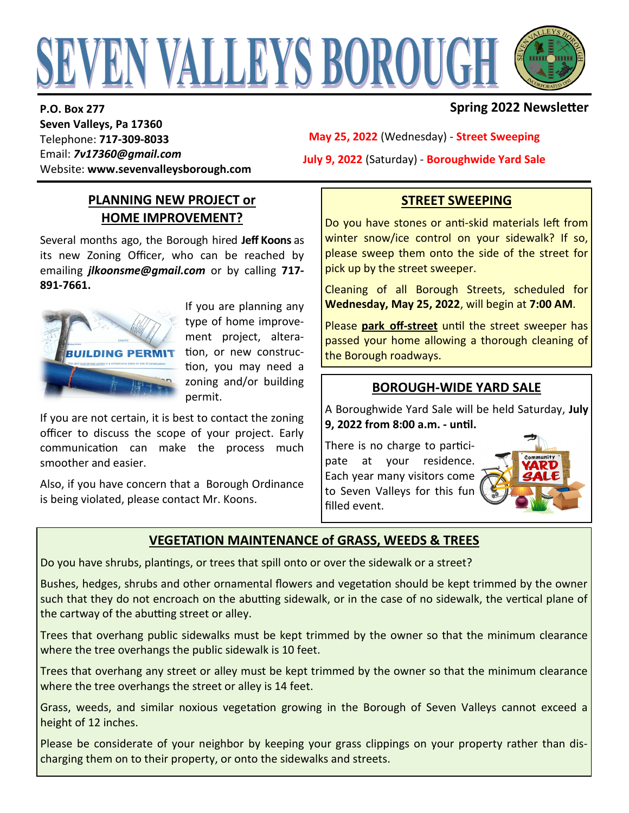# EVEN VALLEYS BOROUGH

**P.O. Box 277 Seven Valleys, Pa 17360** Telephone: **717-309-8033** Email: *7v17360@gmail.com* Website: **www.sevenvalleysborough.com**

## **Spring 2022 Newsletter**

**May 25, 2022** (Wednesday) - **Street Sweeping July 9, 2022** (Saturday) - **Boroughwide Yard Sale**

#### **PLANNING NEW PROJECT or HOME IMPROVEMENT?**

Several months ago, the Borough hired **Jeff Koons** as its new Zoning Officer, who can be reached by emailing *jlkoonsme@gmail.com* or by calling **717- 891-7661.**



If you are planning any type of home improvement project, alteration, or new construction, you may need a zoning and/or building permit.

If you are not certain, it is best to contact the zoning officer to discuss the scope of your project. Early communication can make the process much smoother and easier.

Also, if you have concern that a Borough Ordinance is being violated, please contact Mr. Koons.

## **STREET SWEEPING**

Do you have stones or anti-skid materials left from winter snow/ice control on your sidewalk? If so, please sweep them onto the side of the street for pick up by the street sweeper.

Cleaning of all Borough Streets, scheduled for **Wednesday, May 25, 2022**, will begin at **7:00 AM**.

Please **park off-street** until the street sweeper has passed your home allowing a thorough cleaning of the Borough roadways.

#### **BOROUGH-WIDE YARD SALE**

A Boroughwide Yard Sale will be held Saturday, **July 9, 2022 from 8:00 a.m. - until.**

There is no charge to participate at your residence. Each year many visitors come to Seven Valleys for this fun filled event.



# **VEGETATION MAINTENANCE of GRASS, WEEDS & TREES**

Do you have shrubs, plantings, or trees that spill onto or over the sidewalk or a street?

Bushes, hedges, shrubs and other ornamental flowers and vegetation should be kept trimmed by the owner such that they do not encroach on the abutting sidewalk, or in the case of no sidewalk, the vertical plane of the cartway of the abutting street or alley.

Trees that overhang public sidewalks must be kept trimmed by the owner so that the minimum clearance where the tree overhangs the public sidewalk is 10 feet.

Trees that overhang any street or alley must be kept trimmed by the owner so that the minimum clearance where the tree overhangs the street or alley is 14 feet.

Grass, weeds, and similar noxious vegetation growing in the Borough of Seven Valleys cannot exceed a height of 12 inches.

Please be considerate of your neighbor by keeping your grass clippings on your property rather than discharging them on to their property, or onto the sidewalks and streets.